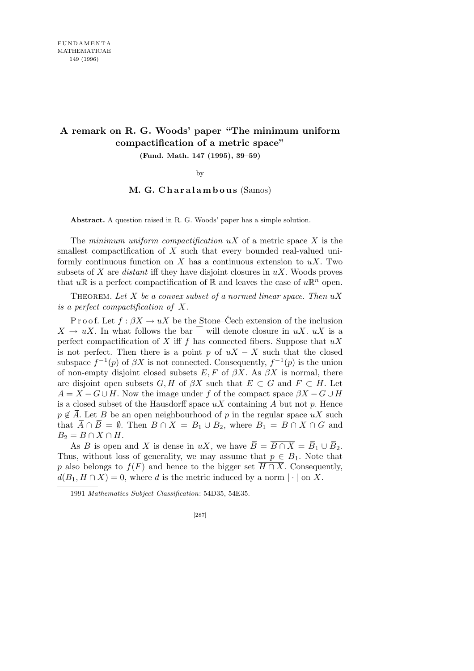## **A remark on R. G. Woods' paper "The minimum uniform compactification of a metric space" (Fund. Math. 147 (1995), 39–59)**

by

## **M. G. C h a r a l a m b o u s** (Samos)

**Abstract.** A question raised in R. G. Woods' paper has a simple solution.

The *minimum uniform compactification uX* of a metric space *X* is the smallest compactification of *X* such that every bounded real-valued uniformly continuous function on *X* has a continuous extension to *uX*. Two subsets of *X* are *distant* iff they have disjoint closures in *uX*. Woods proves that  $u\mathbb{R}$  is a perfect compactification of  $\mathbb{R}$  and leaves the case of  $u\mathbb{R}^n$  open.

Theorem. *Let X be a convex subset of a normed linear space. Then uX is a perfect compactification of X.*

P r o o f. Let  $f : \beta X \to uX$  be the Stone–Cech extension of the inclusion  $X \to uX$ . In what follows the bar will denote closure in  $uX$ .  $uX$  is a perfect compactification of *X* iff *f* has connected fibers. Suppose that *uX* is not perfect. Then there is a point *p* of  $uX - X$  such that the closed subspace  $f^{-1}(p)$  of  $\beta X$  is not connected. Consequently,  $f^{-1}(p)$  is the union of non-empty disjoint closed subsets *E, F* of *βX*. As *βX* is normal, there are disjoint open subsets  $G, H$  of  $\beta X$  such that  $E \subset G$  and  $F \subset H$ . Let  $A = X - G \cup H$ . Now the image under *f* of the compact space  $\beta X - G \cup H$ is a closed subset of the Hausdorff space *uX* containing *A* but not *p*. Hence  $p \notin \overline{A}$ . Let *B* be an open neighbourhood of *p* in the regular space  $uX$  such that  $\overline{A} \cap \overline{B} = \emptyset$ . Then  $B \cap X = B_1 \cup B_2$ , where  $B_1 = B \cap X \cap G$  and  $B_2 = B \cap X \cap H$ .

As *B* is open and *X* is dense in *uX*, we have  $\overline{B} = \overline{B \cap X} = \overline{B}_1 \cup \overline{B}_2$ . Thus, without loss of generality, we may assume that  $p \in \overline{B}_1$ . Note that *p* also belongs to  $f(F)$  and hence to the bigger set  $\overline{H \cap X}$ . Consequently,  $d(B_1, H \cap X) = 0$ , where *d* is the metric induced by a norm  $|\cdot|$  on *X*.

<sup>1991</sup> *Mathematics Subject Classification*: 54D35, 54E35.

<sup>[287]</sup>